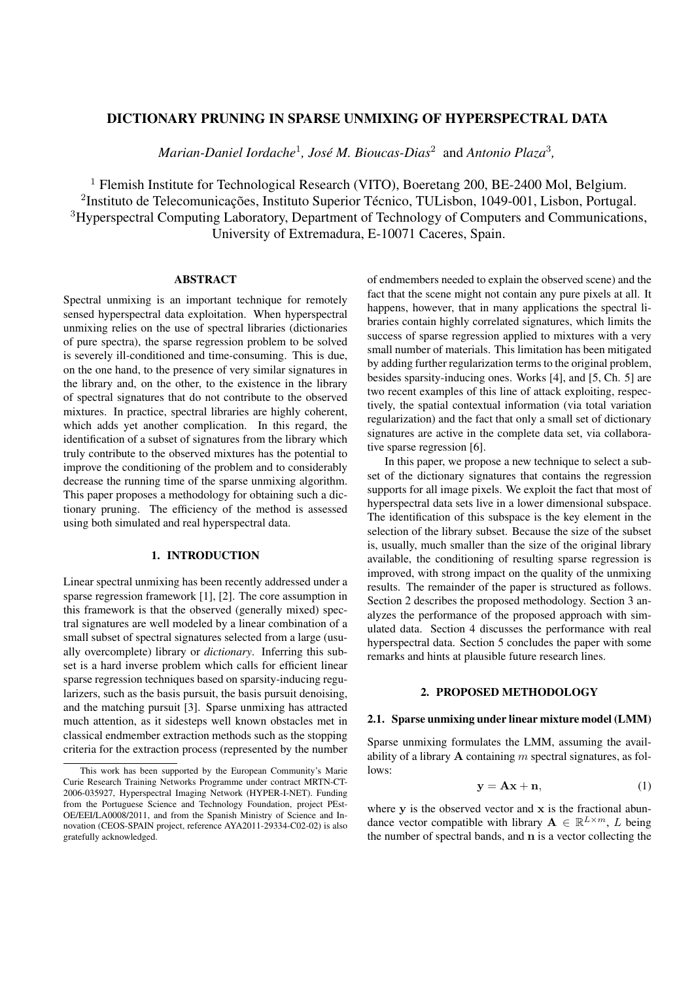## DICTIONARY PRUNING IN SPARSE UNMIXING OF HYPERSPECTRAL DATA

Marian-Daniel Iordache<sup>1</sup>, José M. Bioucas-Dias<sup>2</sup> and Antonio Plaza<sup>3</sup>,

<sup>1</sup> Flemish Institute for Technological Research (VITO), Boeretang 200, BE-2400 Mol, Belgium. <sup>2</sup>Instituto de Telecomunicações, Instituto Superior Técnico, TULisbon, 1049-001, Lisbon, Portugal. <sup>3</sup>Hyperspectral Computing Laboratory, Department of Technology of Computers and Communications, University of Extremadura, E-10071 Caceres, Spain.

# ABSTRACT

Spectral unmixing is an important technique for remotely sensed hyperspectral data exploitation. When hyperspectral unmixing relies on the use of spectral libraries (dictionaries of pure spectra), the sparse regression problem to be solved is severely ill-conditioned and time-consuming. This is due, on the one hand, to the presence of very similar signatures in the library and, on the other, to the existence in the library of spectral signatures that do not contribute to the observed mixtures. In practice, spectral libraries are highly coherent, which adds yet another complication. In this regard, the identification of a subset of signatures from the library which truly contribute to the observed mixtures has the potential to improve the conditioning of the problem and to considerably decrease the running time of the sparse unmixing algorithm. This paper proposes a methodology for obtaining such a dictionary pruning. The efficiency of the method is assessed using both simulated and real hyperspectral data.

## 1. INTRODUCTION

Linear spectral unmixing has been recently addressed under a sparse regression framework [1], [2]. The core assumption in this framework is that the observed (generally mixed) spectral signatures are well modeled by a linear combination of a small subset of spectral signatures selected from a large (usually overcomplete) library or *dictionary*. Inferring this subset is a hard inverse problem which calls for efficient linear sparse regression techniques based on sparsity-inducing regularizers, such as the basis pursuit, the basis pursuit denoising, and the matching pursuit [3]. Sparse unmixing has attracted much attention, as it sidesteps well known obstacles met in classical endmember extraction methods such as the stopping criteria for the extraction process (represented by the number

of endmembers needed to explain the observed scene) and the fact that the scene might not contain any pure pixels at all. It happens, however, that in many applications the spectral libraries contain highly correlated signatures, which limits the success of sparse regression applied to mixtures with a very small number of materials. This limitation has been mitigated by adding further regularization terms to the original problem, besides sparsity-inducing ones. Works [4], and [5, Ch. 5] are two recent examples of this line of attack exploiting, respectively, the spatial contextual information (via total variation regularization) and the fact that only a small set of dictionary signatures are active in the complete data set, via collaborative sparse regression [6].

In this paper, we propose a new technique to select a subset of the dictionary signatures that contains the regression supports for all image pixels. We exploit the fact that most of hyperspectral data sets live in a lower dimensional subspace. The identification of this subspace is the key element in the selection of the library subset. Because the size of the subset is, usually, much smaller than the size of the original library available, the conditioning of resulting sparse regression is improved, with strong impact on the quality of the unmixing results. The remainder of the paper is structured as follows. Section 2 describes the proposed methodology. Section 3 analyzes the performance of the proposed approach with simulated data. Section 4 discusses the performance with real hyperspectral data. Section 5 concludes the paper with some remarks and hints at plausible future research lines.

#### 2. PROPOSED METHODOLOGY

## 2.1. Sparse unmixing under linear mixture model (LMM)

Sparse unmixing formulates the LMM, assuming the availability of a library **A** containing *m* spectral signatures, as follows:

$$
y = Ax + n,\tag{1}
$$

where **y** is the observed vector and **x** is the fractional abundance vector compatible with library  $A \in \mathbb{R}^{L \times m}$ , *L* being the number of spectral bands, and **n** is a vector collecting the

This work has been supported by the European Community's Marie Curie Research Training Networks Programme under contract MRTN-CT-2006-035927, Hyperspectral Imaging Network (HYPER-I-NET). Funding from the Portuguese Science and Technology Foundation, project PEst-OE/EEI/LA0008/2011, and from the Spanish Ministry of Science and Innovation (CEOS-SPAIN project, reference AYA2011-29334-C02-02) is also gratefully acknowledged.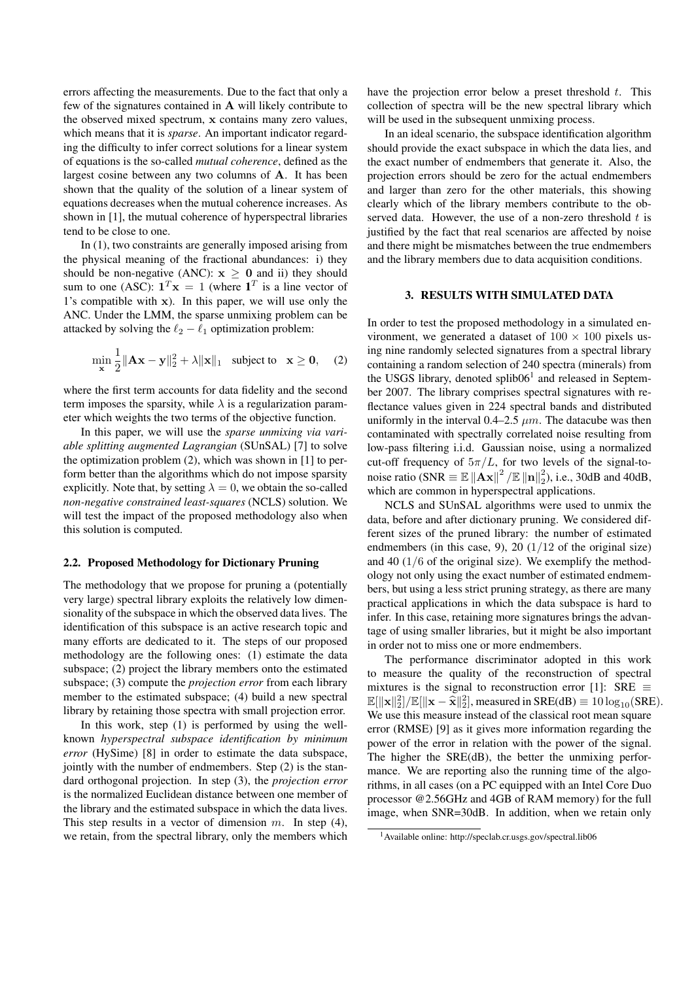errors affecting the measurements. Due to the fact that only a few of the signatures contained in **A** will likely contribute to the observed mixed spectrum, **x** contains many zero values, which means that it is *sparse*. An important indicator regarding the difficulty to infer correct solutions for a linear system of equations is the so-called *mutual coherence*, defined as the largest cosine between any two columns of **A**. It has been shown that the quality of the solution of a linear system of equations decreases when the mutual coherence increases. As shown in [1], the mutual coherence of hyperspectral libraries tend to be close to one.

In (1), two constraints are generally imposed arising from the physical meaning of the fractional abundances: i) they should be non-negative (ANC):  $x \ge 0$  and ii) they should sum to one (ASC):  $\mathbf{1}^T \mathbf{x} = 1$  (where  $\mathbf{1}^T$  is a line vector of 1's compatible with **x**). In this paper, we will use only the ANC. Under the LMM, the sparse unmixing problem can be attacked by solving the  $\ell_2 - \ell_1$  optimization problem:

$$
\min_{\mathbf{x}} \frac{1}{2} \|\mathbf{A}\mathbf{x} - \mathbf{y}\|_2^2 + \lambda \|\mathbf{x}\|_1 \quad \text{subject to} \quad \mathbf{x} \ge \mathbf{0}, \quad (2)
$$

where the first term accounts for data fidelity and the second term imposes the sparsity, while  $\lambda$  is a regularization parameter which weights the two terms of the objective function.

In this paper, we will use the *sparse unmixing via variable splitting augmented Lagrangian* (SUnSAL) [7] to solve the optimization problem (2), which was shown in [1] to perform better than the algorithms which do not impose sparsity explicitly. Note that, by setting  $\lambda = 0$ , we obtain the so-called *non-negative constrained least-squares* (NCLS) solution. We will test the impact of the proposed methodology also when this solution is computed.

### 2.2. Proposed Methodology for Dictionary Pruning

The methodology that we propose for pruning a (potentially very large) spectral library exploits the relatively low dimensionality of the subspace in which the observed data lives. The identification of this subspace is an active research topic and many efforts are dedicated to it. The steps of our proposed methodology are the following ones: (1) estimate the data subspace; (2) project the library members onto the estimated subspace; (3) compute the *projection error* from each library member to the estimated subspace; (4) build a new spectral library by retaining those spectra with small projection error.

In this work, step (1) is performed by using the wellknown *hyperspectral subspace identification by minimum error* (HySime) [8] in order to estimate the data subspace, jointly with the number of endmembers. Step (2) is the standard orthogonal projection. In step (3), the *projection error* is the normalized Euclidean distance between one member of the library and the estimated subspace in which the data lives. This step results in a vector of dimension *m*. In step (4), we retain, from the spectral library, only the members which

have the projection error below a preset threshold *t*. This collection of spectra will be the new spectral library which will be used in the subsequent unmixing process.

In an ideal scenario, the subspace identification algorithm should provide the exact subspace in which the data lies, and the exact number of endmembers that generate it. Also, the projection errors should be zero for the actual endmembers and larger than zero for the other materials, this showing clearly which of the library members contribute to the observed data. However, the use of a non-zero threshold *t* is justified by the fact that real scenarios are affected by noise and there might be mismatches between the true endmembers and the library members due to data acquisition conditions.

#### 3. RESULTS WITH SIMULATED DATA

In order to test the proposed methodology in a simulated environment, we generated a dataset of  $100 \times 100$  pixels using nine randomly selected signatures from a spectral library containing a random selection of 240 spectra (minerals) from the USGS library, denoted splib06<sup>1</sup> and released in September 2007. The library comprises spectral signatures with reflectance values given in 224 spectral bands and distributed uniformly in the interval  $0.4-2.5 \mu m$ . The datacube was then contaminated with spectrally correlated noise resulting from low-pass filtering i.i.d. Gaussian noise, using a normalized cut-off frequency of  $5\pi/L$ , for two levels of the signal-tonoise ratio (SNR  $\equiv$   $\mathbb{E}$   $||\mathbf{A}\mathbf{x}||^2 / \mathbb{E}$   $||\mathbf{n}||_2^2$  $2<sup>2</sup>$ ), i.e., 30dB and 40dB, which are common in hyperspectral applications.

NCLS and SUnSAL algorithms were used to unmix the data, before and after dictionary pruning. We considered different sizes of the pruned library: the number of estimated endmembers (in this case, 9), 20 (1*/*12 of the original size) and 40 (1*/*6 of the original size). We exemplify the methodology not only using the exact number of estimated endmembers, but using a less strict pruning strategy, as there are many practical applications in which the data subspace is hard to infer. In this case, retaining more signatures brings the advantage of using smaller libraries, but it might be also important in order not to miss one or more endmembers.

The performance discriminator adopted in this work to measure the quality of the reconstruction of spectral mixtures is the signal to reconstruction error [1]: SRE *≡*  $\mathbb{E}[\|\mathbf{x}\|^2]/\mathbb{E}[\|\mathbf{x}-\hat{\mathbf{x}}\|^2]$ , measured in SRE(dB)  $\equiv 10 \log_{10} (\text{SRE}).$ <br>We use this measure instead of the algorizal gast mean assumer We use this measure instead of the classical root mean square error (RMSE) [9] as it gives more information regarding the power of the error in relation with the power of the signal. The higher the SRE(dB), the better the unmixing performance. We are reporting also the running time of the algorithms, in all cases (on a PC equipped with an Intel Core Duo processor @2.56GHz and 4GB of RAM memory) for the full image, when SNR=30dB. In addition, when we retain only

<sup>1</sup>Available online: http://speclab.cr.usgs.gov/spectral.lib06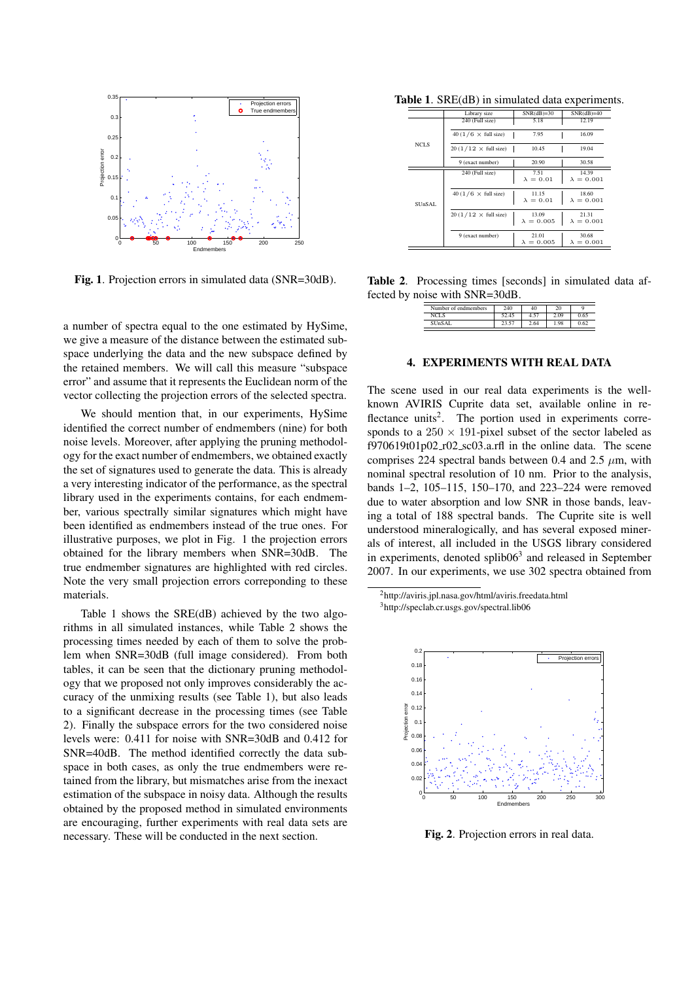

Fig. 1. Projection errors in simulated data (SNR=30dB).

a number of spectra equal to the one estimated by HySime, we give a measure of the distance between the estimated subspace underlying the data and the new subspace defined by the retained members. We will call this measure "subspace error" and assume that it represents the Euclidean norm of the vector collecting the projection errors of the selected spectra.

We should mention that, in our experiments, HySime identified the correct number of endmembers (nine) for both noise levels. Moreover, after applying the pruning methodology for the exact number of endmembers, we obtained exactly the set of signatures used to generate the data. This is already a very interesting indicator of the performance, as the spectral library used in the experiments contains, for each endmember, various spectrally similar signatures which might have been identified as endmembers instead of the true ones. For illustrative purposes, we plot in Fig. 1 the projection errors obtained for the library members when SNR=30dB. The true endmember signatures are highlighted with red circles. Note the very small projection errors correponding to these materials.

Table 1 shows the SRE(dB) achieved by the two algorithms in all simulated instances, while Table 2 shows the processing times needed by each of them to solve the problem when SNR=30dB (full image considered). From both tables, it can be seen that the dictionary pruning methodology that we proposed not only improves considerably the accuracy of the unmixing results (see Table 1), but also leads to a significant decrease in the processing times (see Table 2). Finally the subspace errors for the two considered noise levels were: 0.411 for noise with SNR=30dB and 0.412 for SNR=40dB. The method identified correctly the data subspace in both cases, as only the true endmembers were retained from the library, but mismatches arise from the inexact estimation of the subspace in noisy data. Although the results obtained by the proposed method in simulated environments are encouraging, further experiments with real data sets are necessary. These will be conducted in the next section.

Table 1. SRE(dB) in simulated data experiments.

|             | Library size                       | $SNR(dB)=30$      | $SNR(dB)=40$      |
|-------------|------------------------------------|-------------------|-------------------|
|             | 240 (Full size)                    | 5.18              | 12.19             |
|             | 40 (1/6 $\times$ full size)        | 7.95              | 16.09             |
| <b>NCLS</b> | $20(1/12 \times \text{full size})$ | 10.45             | 19.04             |
|             | 9 (exact number)                   | 20.90             | 30.58             |
|             | 240 (Full size)                    | 7.51              | 14.39             |
|             |                                    | $\lambda = 0.01$  | $\lambda = 0.001$ |
|             | 40 (1/6 $\times$ full size)        | 11.15             | 18.60             |
| SUnSAL      |                                    | $\lambda = 0.01$  | $\lambda = 0.001$ |
|             | $20(1/12 \times \text{full size})$ | 13.09             | 21.31             |
|             |                                    | $\lambda = 0.005$ | $\lambda = 0.001$ |
|             | 9 (exact number)                   | 21.01             | 30.68             |
|             |                                    | $\lambda = 0.005$ | $\lambda = 0.001$ |

Table 2. Processing times [seconds] in simulated data affected by noise with SNR=30dB.

| Number of endmembers | 240   | 40   | 20   | o    |
|----------------------|-------|------|------|------|
| NCLS                 | 52.45 | 4.57 | 2.09 | 0.65 |
| SUnSAL               | 23.57 | 2.64 | 1.98 |      |

### 4. EXPERIMENTS WITH REAL DATA

The scene used in our real data experiments is the wellknown AVIRIS Cuprite data set, available online in reflectance units<sup>2</sup>. The portion used in experiments corresponds to a  $250 \times 191$ -pixel subset of the sector labeled as f970619t01p02 r02 sc03.a.rfl in the online data. The scene comprises 224 spectral bands between 0.4 and 2.5  $\mu$ m, with nominal spectral resolution of 10 nm. Prior to the analysis, bands 1–2, 105–115, 150–170, and 223–224 were removed due to water absorption and low SNR in those bands, leaving a total of 188 spectral bands. The Cuprite site is well understood mineralogically, and has several exposed minerals of interest, all included in the USGS library considered in experiments, denoted splib06<sup>3</sup> and released in September 2007. In our experiments, we use 302 spectra obtained from

<sup>2</sup>http://aviris.jpl.nasa.gov/html/aviris.freedata.html <sup>3</sup>http://speclab.cr.usgs.gov/spectral.lib06



Fig. 2. Projection errors in real data.